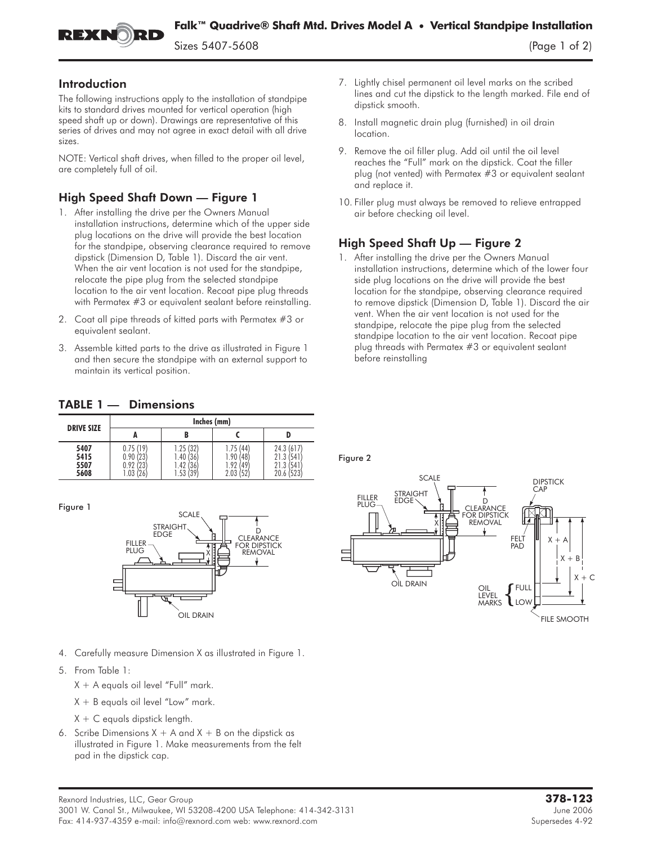

Figure 2

## Introduction

The following instructions apply to the installation of standpipe kits to standard drives mounted for vertical operation (high speed shaft up or down). Drawings are representative of this series of drives and may not agree in exact detail with all drive sizes.

NOTE: Vertical shaft drives, when filled to the proper oil level, are completely full of oil.

## High Speed Shaft Down — Figure 1

- 1. After installing the drive per the Owners Manual installation instructions, determine which of the upper side plug locations on the drive will provide the best location for the standpipe, observing clearance required to remove dipstick (Dimension D, Table 1). Discard the air vent. When the air vent location is not used for the standpipe, relocate the pipe plug from the selected standpipe location to the air vent location. Recoat pipe plug threads with Permatex #3 or equivalent sealant before reinstalling.
- 2. Coat all pipe threads of kitted parts with Permatex #3 or equivalent sealant.
- 3. Assemble kitted parts to the drive as illustrated in Figure 1 and then secure the standpipe with an external support to maintain its vertical position.
- 7. Lightly chisel permanent oil level marks on the scribed lines and cut the dipstick to the length marked. File end of dipstick smooth.
- 8. Install magnetic drain plug (furnished) in oil drain location.
- 9. Remove the oil filler plug. Add oil until the oil level reaches the "Full" mark on the dipstick. Coat the filler plug (not vented) with Permatex #3 or equivalent sealant and replace it.
- 10. Filler plug must always be removed to relieve entrapped air before checking oil level.

## High Speed Shaft Up — Figure 2

1. After installing the drive per the Owners Manual installation instructions, determine which of the lower four side plug locations on the drive will provide the best location for the standpipe, observing clearance required to remove dipstick (Dimension D, Table 1). Discard the air vent. When the air vent location is not used for the standpipe, relocate the pipe plug from the selected standpipe location to the air vent location. Recoat pipe plug threads with Permatex #3 or equivalent sealant before reinstalling

## TABLE 1 — Dimensions

| <b>DRIVE SIZE</b>            | Inches (mm)                                        |                                                |                                                  |                                                       |
|------------------------------|----------------------------------------------------|------------------------------------------------|--------------------------------------------------|-------------------------------------------------------|
|                              | А                                                  | B                                              |                                                  |                                                       |
| 5407<br>5415<br>5507<br>5608 | 0.75(19)<br>0.90(23)<br>123<br>0.92<br>(26)<br>.03 | .25(32)<br>.40 (36)<br>.42<br>36<br>.53<br>(39 | 1.75(44)<br>1.90 (48<br>1.92<br>(49)<br>2.03(52) | 24.3(617)<br>541<br>21.3<br>541<br>21.3<br>20.6 (523) |

 $\mathbf{r}$ 



- 4. Carefully measure Dimension X as illustrated in Figure 1.
- 5. From Table 1:
	- $X + A$  equals oil level "Full" mark.
	- $X + B$  equals oil level "Low" mark.
	- $X + C$  equals dipstick length.
- 6. Scribe Dimensions  $X + A$  and  $X + B$  on the dipstick as illustrated in Figure 1. Make measurements from the felt pad in the dipstick cap.